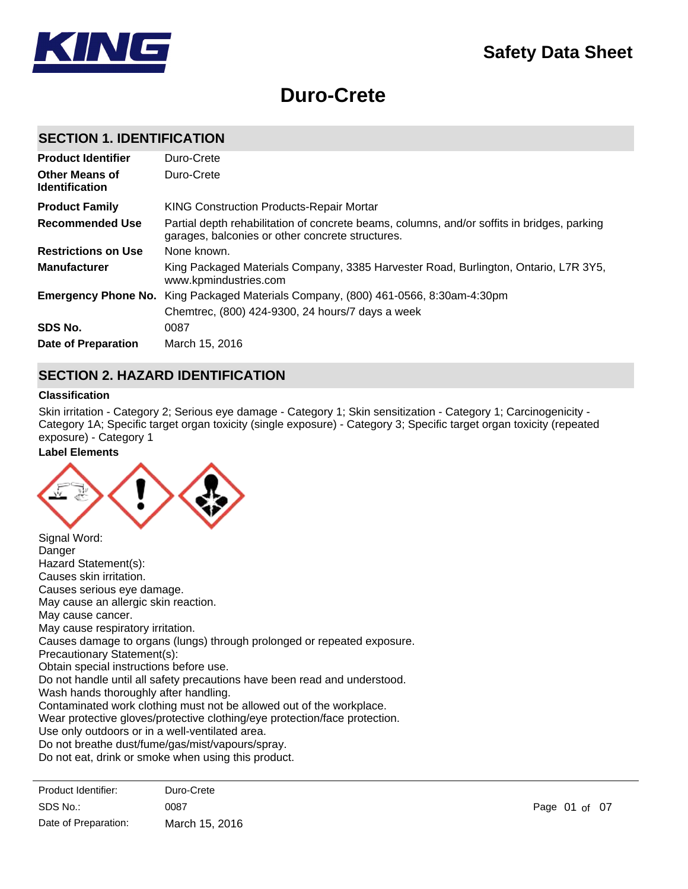# **Duro-Crete**

# **SECTION 1. IDENTIFICATION**

| <b>Product Identifier</b><br><b>Other Means of</b><br><b>Identification</b> | Duro-Crete<br>Duro-Crete                                                                                                                        |
|-----------------------------------------------------------------------------|-------------------------------------------------------------------------------------------------------------------------------------------------|
| <b>Product Family</b>                                                       | <b>KING Construction Products-Repair Mortar</b>                                                                                                 |
| <b>Recommended Use</b>                                                      | Partial depth rehabilitation of concrete beams, columns, and/or soffits in bridges, parking<br>garages, balconies or other concrete structures. |
| <b>Restrictions on Use</b>                                                  | None known.                                                                                                                                     |
| <b>Manufacturer</b>                                                         | King Packaged Materials Company, 3385 Harvester Road, Burlington, Ontario, L7R 3Y5,<br>www.kpmindustries.com                                    |
| <b>Emergency Phone No.</b>                                                  | King Packaged Materials Company, (800) 461-0566, 8:30am-4:30pm                                                                                  |
|                                                                             | Chemtrec, (800) 424-9300, 24 hours/7 days a week                                                                                                |
| SDS No.                                                                     | 0087                                                                                                                                            |
| Date of Preparation                                                         | March 15, 2016                                                                                                                                  |

# **SECTION 2. HAZARD IDENTIFICATION**

### **Classification**

Skin irritation - Category 2; Serious eye damage - Category 1; Skin sensitization - Category 1; Carcinogenicity - Category 1A; Specific target organ toxicity (single exposure) - Category 3; Specific target organ toxicity (repeated exposure) - Category 1

# **Label Elements**



| Signal Word:                                                               |
|----------------------------------------------------------------------------|
| Danger                                                                     |
| Hazard Statement(s):                                                       |
| Causes skin irritation.                                                    |
| Causes serious eye damage.                                                 |
| May cause an allergic skin reaction.                                       |
| May cause cancer.                                                          |
| May cause respiratory irritation.                                          |
| Causes damage to organs (lungs) through prolonged or repeated exposure.    |
| Precautionary Statement(s):                                                |
| Obtain special instructions before use.                                    |
| Do not handle until all safety precautions have been read and understood.  |
| Wash hands thoroughly after handling.                                      |
| Contaminated work clothing must not be allowed out of the workplace.       |
| Wear protective gloves/protective clothing/eye protection/face protection. |
| Use only outdoors or in a well-ventilated area.                            |
| Do not breathe dust/fume/gas/mist/vapours/spray.                           |
| Do not eat, drink or smoke when using this product.                        |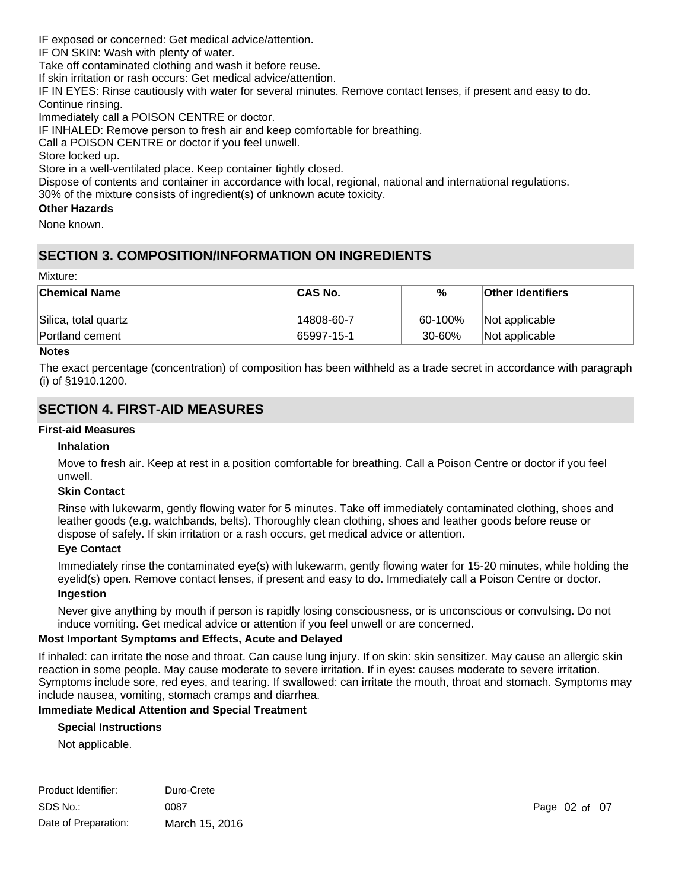IF exposed or concerned: Get medical advice/attention.

IF ON SKIN: Wash with plenty of water.

Take off contaminated clothing and wash it before reuse.

If skin irritation or rash occurs: Get medical advice/attention.

IF IN EYES: Rinse cautiously with water for several minutes. Remove contact lenses, if present and easy to do. Continue rinsing.

Immediately call a POISON CENTRE or doctor.

IF INHALED: Remove person to fresh air and keep comfortable for breathing.

Call a POISON CENTRE or doctor if you feel unwell.

Store locked up.

Store in a well-ventilated place. Keep container tightly closed.

Dispose of contents and container in accordance with local, regional, national and international regulations.

30% of the mixture consists of ingredient(s) of unknown acute toxicity.

### **Other Hazards**

None known.

# **SECTION 3. COMPOSITION/INFORMATION ON INGREDIENTS**

#### Mixture:

| ∣Chemical Name       | <b>CAS No.</b> | %       | <b>Other Identifiers</b> |
|----------------------|----------------|---------|--------------------------|
| Silica, total quartz | 14808-60-7     | 60-100% | Not applicable           |
| Portland cement      | $ 65997-15-1$  | 30-60%  | Not applicable           |

#### **Notes**

The exact percentage (concentration) of composition has been withheld as a trade secret in accordance with paragraph (i) of §1910.1200.

# **SECTION 4. FIRST-AID MEASURES**

#### **First-aid Measures**

#### **Inhalation**

Move to fresh air. Keep at rest in a position comfortable for breathing. Call a Poison Centre or doctor if you feel unwell.

#### **Skin Contact**

Rinse with lukewarm, gently flowing water for 5 minutes. Take off immediately contaminated clothing, shoes and leather goods (e.g. watchbands, belts). Thoroughly clean clothing, shoes and leather goods before reuse or dispose of safely. If skin irritation or a rash occurs, get medical advice or attention.

#### **Eye Contact**

Immediately rinse the contaminated eye(s) with lukewarm, gently flowing water for 15-20 minutes, while holding the eyelid(s) open. Remove contact lenses, if present and easy to do. Immediately call a Poison Centre or doctor. **Ingestion**

Never give anything by mouth if person is rapidly losing consciousness, or is unconscious or convulsing. Do not induce vomiting. Get medical advice or attention if you feel unwell or are concerned.

#### **Most Important Symptoms and Effects, Acute and Delayed**

If inhaled: can irritate the nose and throat. Can cause lung injury. If on skin: skin sensitizer. May cause an allergic skin reaction in some people. May cause moderate to severe irritation. If in eyes: causes moderate to severe irritation. Symptoms include sore, red eyes, and tearing. If swallowed: can irritate the mouth, throat and stomach. Symptoms may include nausea, vomiting, stomach cramps and diarrhea.

### **Immediate Medical Attention and Special Treatment**

#### **Special Instructions**

Not applicable.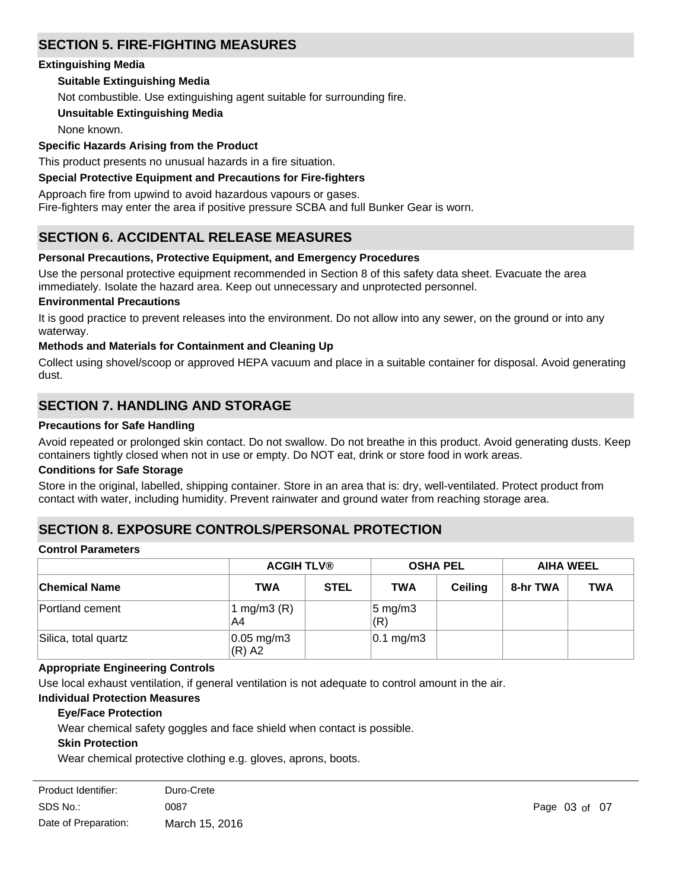# **SECTION 5. FIRE-FIGHTING MEASURES**

### **Extinguishing Media**

# **Suitable Extinguishing Media**

Not combustible. Use extinguishing agent suitable for surrounding fire.

# **Unsuitable Extinguishing Media**

None known.

### **Specific Hazards Arising from the Product**

This product presents no unusual hazards in a fire situation.

### **Special Protective Equipment and Precautions for Fire-fighters**

Approach fire from upwind to avoid hazardous vapours or gases.

Fire-fighters may enter the area if positive pressure SCBA and full Bunker Gear is worn.

# **SECTION 6. ACCIDENTAL RELEASE MEASURES**

# **Personal Precautions, Protective Equipment, and Emergency Procedures**

Use the personal protective equipment recommended in Section 8 of this safety data sheet. Evacuate the area immediately. Isolate the hazard area. Keep out unnecessary and unprotected personnel.

#### **Environmental Precautions**

It is good practice to prevent releases into the environment. Do not allow into any sewer, on the ground or into any waterway.

### **Methods and Materials for Containment and Cleaning Up**

Collect using shovel/scoop or approved HEPA vacuum and place in a suitable container for disposal. Avoid generating dust.

# **SECTION 7. HANDLING AND STORAGE**

# **Precautions for Safe Handling**

Avoid repeated or prolonged skin contact. Do not swallow. Do not breathe in this product. Avoid generating dusts. Keep containers tightly closed when not in use or empty. Do NOT eat, drink or store food in work areas.

#### **Conditions for Safe Storage**

Store in the original, labelled, shipping container. Store in an area that is: dry, well-ventilated. Protect product from contact with water, including humidity. Prevent rainwater and ground water from reaching storage area.

# **SECTION 8. EXPOSURE CONTROLS/PERSONAL PROTECTION**

#### **Control Parameters**

|                      | <b>ACGIH TLV®</b>        |             | <b>OSHA PEL</b>           |                | <b>AIHA WEEL</b> |            |
|----------------------|--------------------------|-------------|---------------------------|----------------|------------------|------------|
| <b>Chemical Name</b> | <b>TWA</b>               | <b>STEL</b> | <b>TWA</b>                | <b>Ceiling</b> | 8-hr TWA         | <b>TWA</b> |
| Portland cement      | 1 mg/m $3(R)$<br>A4      |             | $5 \text{ mg/m}$ 3<br>(R) |                |                  |            |
| Silica, total quartz | $0.05$ mg/m3<br>$(R)$ A2 |             | $ 0.1 \text{ mg/m}3 $     |                |                  |            |

# **Appropriate Engineering Controls**

Use local exhaust ventilation, if general ventilation is not adequate to control amount in the air.

# **Individual Protection Measures**

# **Eye/Face Protection**

Wear chemical safety goggles and face shield when contact is possible.

# **Skin Protection**

Wear chemical protective clothing e.g. gloves, aprons, boots.

| Product Identifier:  | Duro-Crete     |
|----------------------|----------------|
| SDS No.:             | 0087           |
| Date of Preparation: | March 15, 2016 |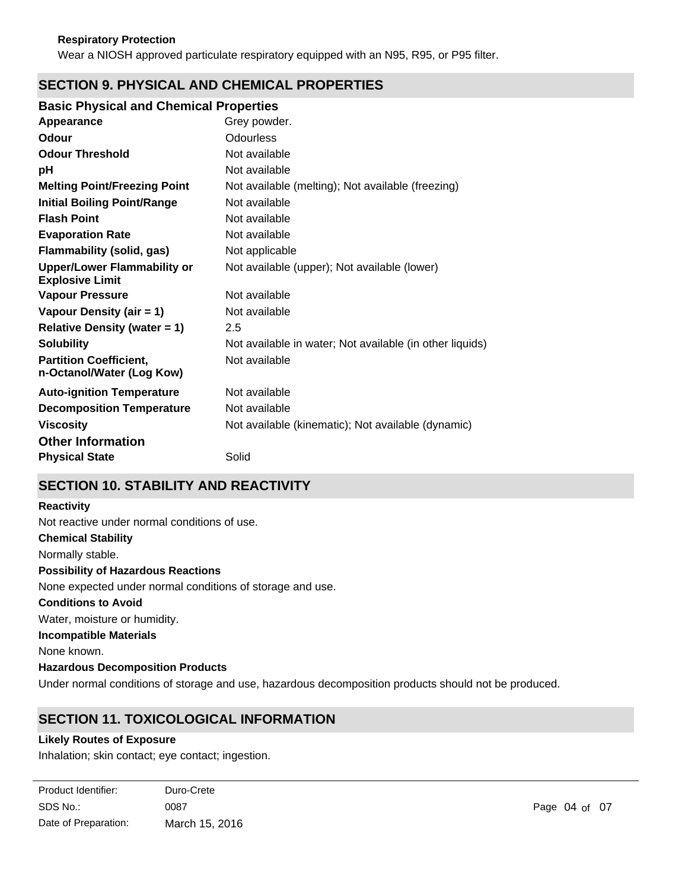Wear a NIOSH approved particulate respiratory equipped with an N95, R95, or P95 filter.

# **SECTION 9. PHYSICAL AND CHEMICAL PROPERTIES**

# **Basic Physical and Chemical Properties**

| Appearance                                                   | Grey powder.                                             |
|--------------------------------------------------------------|----------------------------------------------------------|
| <b>Odour</b>                                                 | <b>Odourless</b>                                         |
| <b>Odour Threshold</b>                                       | Not available                                            |
| рH                                                           | Not available                                            |
| <b>Melting Point/Freezing Point</b>                          | Not available (melting); Not available (freezing)        |
| <b>Initial Boiling Point/Range</b>                           | Not available                                            |
| <b>Flash Point</b>                                           | Not available                                            |
| <b>Evaporation Rate</b>                                      | Not available                                            |
| <b>Flammability (solid, gas)</b>                             | Not applicable                                           |
| <b>Upper/Lower Flammability or</b><br><b>Explosive Limit</b> | Not available (upper); Not available (lower)             |
| <b>Vapour Pressure</b>                                       | Not available                                            |
| Vapour Density (air = 1)                                     | Not available                                            |
| <b>Relative Density (water = 1)</b>                          | 2.5                                                      |
| <b>Solubility</b>                                            | Not available in water; Not available (in other liquids) |
| <b>Partition Coefficient,</b><br>n-Octanol/Water (Log Kow)   | Not available                                            |
| <b>Auto-ignition Temperature</b>                             | Not available                                            |
| <b>Decomposition Temperature</b>                             | Not available                                            |
| <b>Viscosity</b>                                             | Not available (kinematic); Not available (dynamic)       |
| <b>Other Information</b>                                     |                                                          |
| <b>Physical State</b>                                        | Solid                                                    |
|                                                              |                                                          |

# **SECTION 10. STABILITY AND REACTIVITY**

#### **Reactivity**

**Chemical Stability** Not reactive under normal conditions of use.

Normally stable.

# **Possibility of Hazardous Reactions**

None expected under normal conditions of storage and use.

#### **Conditions to Avoid**

Water, moisture or humidity.

#### **Incompatible Materials**

None known.

# **Hazardous Decomposition Products**

Under normal conditions of storage and use, hazardous decomposition products should not be produced.

# **SECTION 11. TOXICOLOGICAL INFORMATION**

# **Likely Routes of Exposure**

Inhalation; skin contact; eye contact; ingestion.

| Product Identifier:  | Duro-Crete     |
|----------------------|----------------|
| SDS No.:             | 0087           |
| Date of Preparation: | March 15, 2016 |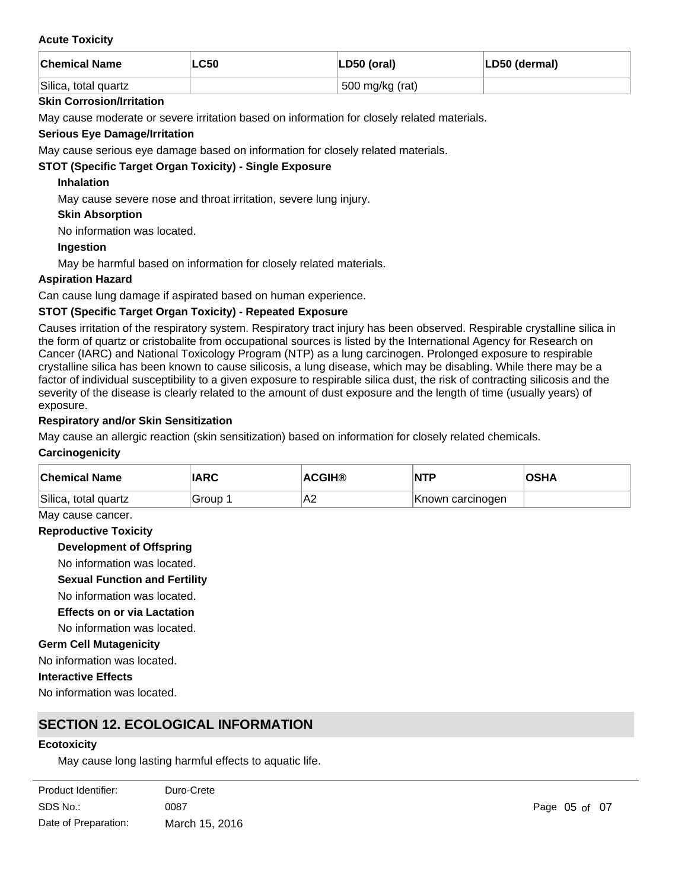#### **Acute Toxicity**

| <b>Chemical Name</b> | LC50 | LD50 (oral)     | LD50 (dermal) |
|----------------------|------|-----------------|---------------|
| Silica, total quartz |      | 500 mg/kg (rat) |               |

#### **Skin Corrosion/Irritation**

May cause moderate or severe irritation based on information for closely related materials.

### **Serious Eye Damage/Irritation**

May cause serious eye damage based on information for closely related materials.

# **STOT (Specific Target Organ Toxicity) - Single Exposure**

### **Inhalation**

May cause severe nose and throat irritation, severe lung injury.

### **Skin Absorption**

No information was located.

### **Ingestion**

May be harmful based on information for closely related materials.

### **Aspiration Hazard**

Can cause lung damage if aspirated based on human experience.

### **STOT (Specific Target Organ Toxicity) - Repeated Exposure**

Causes irritation of the respiratory system. Respiratory tract injury has been observed. Respirable crystalline silica in the form of quartz or cristobalite from occupational sources is listed by the International Agency for Research on Cancer (IARC) and National Toxicology Program (NTP) as a lung carcinogen. Prolonged exposure to respirable crystalline silica has been known to cause silicosis, a lung disease, which may be disabling. While there may be a factor of individual susceptibility to a given exposure to respirable silica dust, the risk of contracting silicosis and the severity of the disease is clearly related to the amount of dust exposure and the length of time (usually years) of exposure.

### **Respiratory and/or Skin Sensitization**

May cause an allergic reaction (skin sensitization) based on information for closely related chemicals.

#### **Carcinogenicity**

| <b>Chemical Name</b> | <b>IARC</b> | <b>ACGIH®</b> | INTP             | <b>OSHA</b> |
|----------------------|-------------|---------------|------------------|-------------|
| Silica, total quartz | Group       | 'A2           | Known carcinogen |             |

#### May cause cancer.

#### **Reproductive Toxicity**

**Development of Offspring**

No information was located.

#### **Sexual Function and Fertility**

- No information was located.
- **Effects on or via Lactation**
- No information was located.

#### **Germ Cell Mutagenicity**

No information was located.

#### **Interactive Effects**

No information was located.

**Persistence and Degradability**

# **SECTION 12. ECOLOGICAL INFORMATION**

#### **Ecotoxicity**

May cause long lasting harmful effects to aquatic life.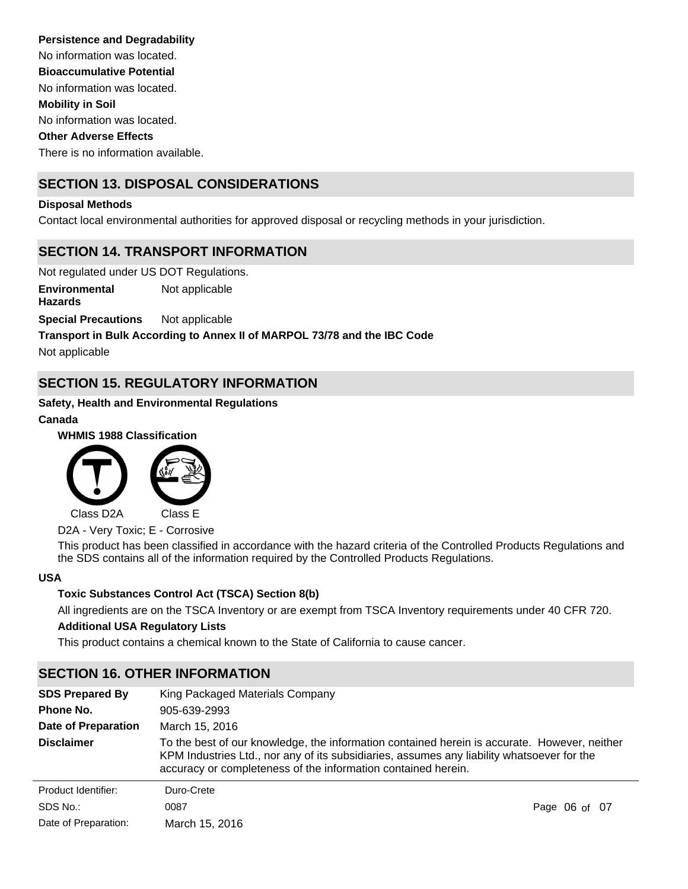No information was located. No information was located. No information was located. **Persistence and Degradability Mobility in Soil Other Adverse Effects Bioaccumulative Potential**

There is no information available.

# **SECTION 13. DISPOSAL CONSIDERATIONS**

### **Disposal Methods**

Contact local environmental authorities for approved disposal or recycling methods in your jurisdiction.

# **SECTION 14. TRANSPORT INFORMATION**

Not regulated under US DOT Regulations. **Special Precautions** Not applicable **Environmental Hazards** Not applicable

**Transport in Bulk According to Annex II of MARPOL 73/78 and the IBC Code**

Not applicable

# **SECTION 15. REGULATORY INFORMATION**

# **Safety, Health and Environmental Regulations**

### **Canada**

**WHMIS 1988 Classification**



D2A - Very Toxic; E - Corrosive

This product has been classified in accordance with the hazard criteria of the Controlled Products Regulations and the SDS contains all of the information required by the Controlled Products Regulations.

#### **USA**

# **Toxic Substances Control Act (TSCA) Section 8(b)**

All ingredients are on the TSCA Inventory or are exempt from TSCA Inventory requirements under 40 CFR 720. **Additional USA Regulatory Lists**

This product contains a chemical known to the State of California to cause cancer.

# **SECTION 16. OTHER INFORMATION**

| <b>SDS Prepared By</b> | King Packaged Materials Company                                                                                                                                                                                                                             |               |  |
|------------------------|-------------------------------------------------------------------------------------------------------------------------------------------------------------------------------------------------------------------------------------------------------------|---------------|--|
| Phone No.              | 905-639-2993                                                                                                                                                                                                                                                |               |  |
| Date of Preparation    | March 15, 2016                                                                                                                                                                                                                                              |               |  |
| <b>Disclaimer</b>      | To the best of our knowledge, the information contained herein is accurate. However, neither<br>KPM Industries Ltd., nor any of its subsidiaries, assumes any liability whatsoever for the<br>accuracy or completeness of the information contained herein. |               |  |
| Product Identifier:    | Duro-Crete                                                                                                                                                                                                                                                  |               |  |
| SDS No.:               | 0087                                                                                                                                                                                                                                                        | Page 06 of 07 |  |
| Date of Preparation:   | March 15, 2016                                                                                                                                                                                                                                              |               |  |